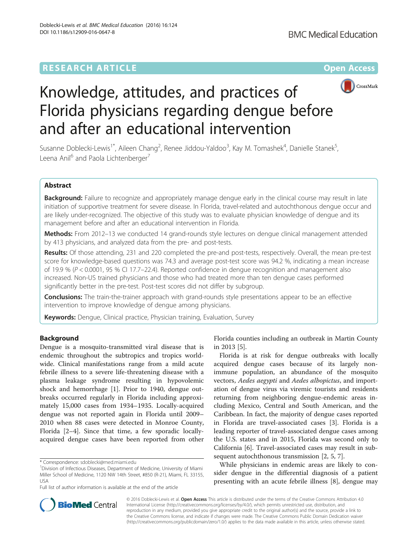## **RESEARCH ARTICLE External Structure Community Community Community Community Community Community Community Community**



# Knowledge, attitudes, and practices of Florida physicians regarding dengue before and after an educational intervention

Susanne Doblecki-Lewis<sup>1\*</sup>, Aileen Chang<sup>2</sup>, Renee Jiddou-Yaldoo<sup>3</sup>, Kay M. Tomashek<sup>4</sup>, Danielle Stanek<sup>5</sup> , Leena Anil<sup>6</sup> and Paola Lichtenberger<sup>7</sup>

## Abstract

Background: Failure to recognize and appropriately manage dengue early in the clinical course may result in late initiation of supportive treatment for severe disease. In Florida, travel-related and autochthonous dengue occur and are likely under-recognized. The objective of this study was to evaluate physician knowledge of dengue and its management before and after an educational intervention in Florida.

**Methods:** From 2012–13 we conducted 14 grand-rounds style lectures on dengue clinical management attended by 413 physicians, and analyzed data from the pre- and post-tests.

Results: Of those attending, 231 and 220 completed the pre-and post-tests, respectively. Overall, the mean pre-test score for knowledge-based questions was 74.3 and average post-test score was 94.2 %, indicating a mean increase of 19.9 % (P < 0.0001, 95 % CI 17.7–22.4). Reported confidence in dengue recognition and management also increased. Non-US trained physicians and those who had treated more than ten dengue cases performed significantly better in the pre-test. Post-test scores did not differ by subgroup.

**Conclusions:** The train-the-trainer approach with grand-rounds style presentations appear to be an effective intervention to improve knowledge of dengue among physicians.

Keywords: Dengue, Clinical practice, Physician training, Evaluation, Survey

## Background

Dengue is a mosquito-transmitted viral disease that is endemic throughout the subtropics and tropics worldwide. Clinical manifestations range from a mild acute febrile illness to a severe life-threatening disease with a plasma leakage syndrome resulting in hypovolemic shock and hemorrhage [[1\]](#page-5-0). Prior to 1940, dengue outbreaks occurred regularly in Florida including approximately 15,000 cases from 1934–1935. Locally-acquired dengue was not reported again in Florida until 2009– 2010 when 88 cases were detected in Monroe County, Florida [[2](#page-5-0)–[4](#page-5-0)]. Since that time, a few sporadic locallyacquired dengue cases have been reported from other

Full list of author information is available at the end of the article

Florida counties including an outbreak in Martin County in 2013 [\[5](#page-5-0)].

Florida is at risk for dengue outbreaks with locally acquired dengue cases because of its largely nonimmune population, an abundance of the mosquito vectors, Aedes aegypti and Aedes albopictus, and importation of dengue virus via viremic tourists and residents returning from neighboring dengue-endemic areas including Mexico, Central and South American, and the Caribbean. In fact, the majority of dengue cases reported in Florida are travel-associated cases [[3\]](#page-5-0). Florida is a leading reporter of travel-associated dengue cases among the U.S. states and in 2015, Florida was second only to California [\[6](#page-5-0)]. Travel-associated cases may result in subsequent autochthonous transmission [\[2](#page-5-0), [5](#page-5-0), [7](#page-5-0)].

While physicians in endemic areas are likely to consider dengue in the differential diagnosis of a patient presenting with an acute febrile illness [\[8](#page-5-0)], dengue may



© 2016 Doblecki-Lewis et al. Open Access This article is distributed under the terms of the Creative Commons Attribution 4.0 International License [\(http://creativecommons.org/licenses/by/4.0/](http://creativecommons.org/licenses/by/4.0/)), which permits unrestricted use, distribution, and reproduction in any medium, provided you give appropriate credit to the original author(s) and the source, provide a link to the Creative Commons license, and indicate if changes were made. The Creative Commons Public Domain Dedication waiver [\(http://creativecommons.org/publicdomain/zero/1.0/](http://creativecommons.org/publicdomain/zero/1.0/)) applies to the data made available in this article, unless otherwise stated.

<sup>\*</sup> Correspondence: [sdoblecki@med.miami.edu](mailto:sdoblecki@med.miami.edu) <sup>1</sup>

<sup>&</sup>lt;sup>1</sup> Division of Infectious Diseases, Department of Medicine, University of Miami Miller School of Medicine, 1120 NW 14th Street, #850 (R-21), Miami, FL 33155, USA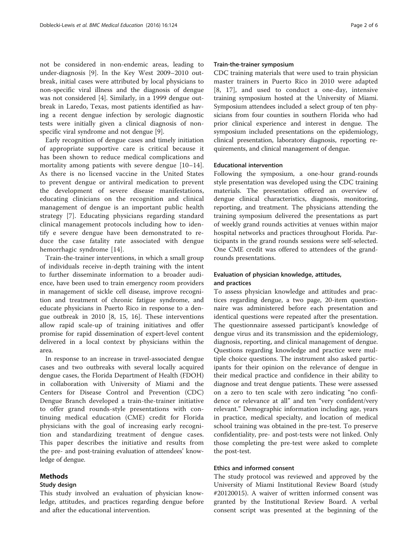not be considered in non-endemic areas, leading to under-diagnosis [[9\]](#page-5-0). In the Key West 2009–2010 outbreak, initial cases were attributed by local physicians to non-specific viral illness and the diagnosis of dengue was not considered [\[4](#page-5-0)]. Similarly, in a 1999 dengue outbreak in Laredo, Texas, most patients identified as having a recent dengue infection by serologic diagnostic tests were initially given a clinical diagnosis of nonspecific viral syndrome and not dengue [\[9\]](#page-5-0).

Early recognition of dengue cases and timely initiation of appropriate supportive care is critical because it has been shown to reduce medical complications and mortality among patients with severe dengue [\[10](#page-5-0)–[14](#page-5-0)]. As there is no licensed vaccine in the United States to prevent dengue or antiviral medication to prevent the development of severe disease manifestations, educating clinicians on the recognition and clinical management of dengue is an important public health strategy [[7](#page-5-0)]. Educating physicians regarding standard clinical management protocols including how to identify e severe dengue have been demonstrated to reduce the case fatality rate associated with dengue hemorrhagic syndrome [\[14](#page-5-0)].

Train-the-trainer interventions, in which a small group of individuals receive in-depth training with the intent to further disseminate information to a broader audience, have been used to train emergency room providers in management of sickle cell disease, improve recognition and treatment of chronic fatigue syndrome, and educate physicians in Puerto Rico in response to a dengue outbreak in 2010 [[8, 15, 16\]](#page-5-0). These interventions allow rapid scale-up of training initiatives and offer promise for rapid dissemination of expert-level content delivered in a local context by physicians within the area.

In response to an increase in travel-associated dengue cases and two outbreaks with several locally acquired dengue cases, the Florida Department of Health (FDOH) in collaboration with University of Miami and the Centers for Disease Control and Prevention (CDC) Dengue Branch developed a train-the-trainer initiative to offer grand rounds-style presentations with continuing medical education (CME) credit for Florida physicians with the goal of increasing early recognition and standardizing treatment of dengue cases. This paper describes the initiative and results from the pre- and post-training evaluation of attendees' knowledge of dengue.

#### Methods

#### Study design

This study involved an evaluation of physician knowledge, attitudes, and practices regarding dengue before and after the educational intervention.

#### Train-the-trainer symposium

CDC training materials that were used to train physician master trainers in Puerto Rico in 2010 were adapted [[8, 17](#page-5-0)], and used to conduct a one-day, intensive training symposium hosted at the University of Miami. Symposium attendees included a select group of ten physicians from four counties in southern Florida who had prior clinical experience and interest in dengue. The symposium included presentations on the epidemiology, clinical presentation, laboratory diagnosis, reporting requirements, and clinical management of dengue.

#### Educational intervention

Following the symposium, a one-hour grand-rounds style presentation was developed using the CDC training materials. The presentation offered an overview of dengue clinical characteristics, diagnosis, monitoring, reporting, and treatment. The physicians attending the training symposium delivered the presentations as part of weekly grand rounds activities at venues within major hospital networks and practices throughout Florida. Participants in the grand rounds sessions were self-selected. One CME credit was offered to attendees of the grandrounds presentations.

### Evaluation of physician knowledge, attitudes, and practices

To assess physician knowledge and attitudes and practices regarding dengue, a two page, 20-item questionnaire was administered before each presentation and identical questions were repeated after the presentation. The questionnaire assessed participant's knowledge of dengue virus and its transmission and the epidemiology, diagnosis, reporting, and clinical management of dengue. Questions regarding knowledge and practice were multiple choice questions. The instrument also asked participants for their opinion on the relevance of dengue in their medical practice and confidence in their ability to diagnose and treat dengue patients. These were assessed on a zero to ten scale with zero indicating "no confidence or relevance at all" and ten "very confident/very relevant." Demographic information including age, years in practice, medical specialty, and location of medical school training was obtained in the pre-test. To preserve confidentiality, pre- and post-tests were not linked. Only those completing the pre-test were asked to complete the post-test.

#### Ethics and informed consent

The study protocol was reviewed and approved by the University of Miami Institutional Review Board (study #20120015). A waiver of written informed consent was granted by the Institutional Review Board. A verbal consent script was presented at the beginning of the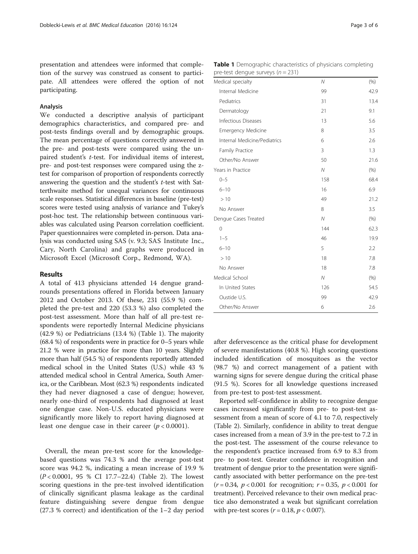#### Analysis

We conducted a descriptive analysis of participant demographics characteristics, and compared pre- and post-tests findings overall and by demographic groups. The mean percentage of questions correctly answered in the pre- and post-tests were compared using the unpaired student's t-test. For individual items of interest, pre- and post-test responses were compared using the ztest for comparison of proportion of respondents correctly answering the question and the student's  $t$ -test with Satterthwaite method for unequal variances for continuous scale responses. Statistical differences in baseline (pre-test) scores were tested using analysis of variance and Tukey's post-hoc test. The relationship between continuous variables was calculated using Pearson correlation coefficient. Paper questionnaires were completed in-person. Data analysis was conducted using SAS (v. 9.3; SAS Institute Inc., Cary, North Carolina) and graphs were produced in Microsoft Excel (Microsoft Corp., Redmond, WA).

#### Results

A total of 413 physicians attended 14 dengue grandrounds presentations offered in Florida between January 2012 and October 2013. Of these, 231 (55.9 %) completed the pre-test and 220 (53.3 %) also completed the post-test assessment. More than half of all pre-test respondents were reportedly Internal Medicine physicians (42.9 %) or Pediatricians (13.4 %) (Table 1). The majority (68.4 %) of respondents were in practice for 0–5 years while 21.2 % were in practice for more than 10 years. Slightly more than half (54.5 %) of respondents reportedly attended medical school in the United States (U.S.) while 43 % attended medical school in Central America, South America, or the Caribbean. Most (62.3 %) respondents indicated they had never diagnosed a case of dengue; however, nearly one-third of respondents had diagnosed at least one dengue case. Non-U.S. educated physicians were significantly more likely to report having diagnosed at least one dengue case in their career ( $p < 0.0001$ ).

Overall, the mean pre-test score for the knowledgebased questions was 74.3 % and the average post-test score was 94.2 %, indicating a mean increase of 19.9 % (P < 0.0001, 95 % CI 17.7–22.4) (Table [2](#page-3-0)). The lowest scoring questions in the pre-test involved identification of clinically significant plasma leakage as the cardinal feature distinguishing severe dengue from dengue (27.3 % correct) and identification of the 1–2 day period

Table 1 Demographic characteristics of physicians completing pre-test dengue surveys ( $n = 231$ )

| Medical specialty            | $\mathcal N$ | (9/6) |
|------------------------------|--------------|-------|
| Internal Medicine            | 99           | 42.9  |
| Pediatrics                   | 31           | 13.4  |
| Dermatology                  | 21           | 9.1   |
| Infectious Diseases          | 13           | 5.6   |
| <b>Emergency Medicine</b>    | 8            | 3.5   |
| Internal Medicine/Pediatrics | 6            | 2.6   |
| Family Practice              | 3            | 1.3   |
| Other/No Answer              | 50           | 21.6  |
| Years in Practice            | $\mathcal N$ | (% )  |
| $0 - 5$                      | 158          | 68.4  |
| $6 - 10$                     | 16           | 6.9   |
| >10                          | 49           | 21.2  |
| No Answer                    | 8            | 3.5   |
| Dengue Cases Treated         | $\mathcal N$ | (% )  |
| 0                            | 144          | 62.3  |
| $1 - 5$                      | 46           | 19.9  |
| $6 - 10$                     | 5            | 2.2   |
| >10                          | 18           | 7.8   |
| No Answer                    | 18           | 7.8   |
| Medical School               | $\mathcal N$ | (% )  |
| In United States             | 126          | 54.5  |
| Oustide U.S.                 | 99           | 42.9  |
| Other/No Answer              | 6            | 2.6   |

after defervescence as the critical phase for development of severe manifestations (40.8 %). High scoring questions included identification of mosquitoes as the vector (98.7 %) and correct management of a patient with warning signs for severe dengue during the critical phase (91.5 %). Scores for all knowledge questions increased from pre-test to post-test assessment.

Reported self-confidence in ability to recognize dengue cases increased significantly from pre- to post-test assessment from a mean of score of 4.1 to 7.0, respectively (Table [2](#page-3-0)). Similarly, confidence in ability to treat dengue cases increased from a mean of 3.9 in the pre-test to 7.2 in the post-test. The assessment of the course relevance to the respondent's practice increased from 6.9 to 8.3 from pre- to post-test. Greater confidence in recognition and treatment of dengue prior to the presentation were significantly associated with better performance on the pre-test  $(r = 0.34, p < 0.001$  for recognition;  $r = 0.35, p < 0.001$  for treatment). Perceived relevance to their own medical practice also demonstrated a weak but significant correlation with pre-test scores  $(r = 0.18, p < 0.007)$ .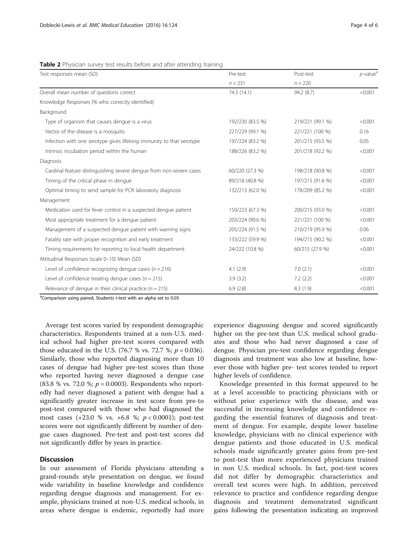<span id="page-3-0"></span>

| <b>Table 2</b> Physician survey test results before and after attending training |  |  |  |  |
|----------------------------------------------------------------------------------|--|--|--|--|
|                                                                                  |  |  |  |  |

| Test responses mean (SD)                                             | Pre-test         | Post-test        | $p$ -value <sup>a</sup> |
|----------------------------------------------------------------------|------------------|------------------|-------------------------|
|                                                                      | $n = 231$        | $n = 220$        |                         |
| Overall mean number of questions correct                             | 74.3 (14.1)      | 94.2 (8.7)       | < 0.001                 |
| Knowledge Responses (% who correctly identified)                     |                  |                  |                         |
| Background                                                           |                  |                  |                         |
| Type of organism that causes dengue is a virus                       | 192/230 (83.5 %) | 219/221 (99.1 %) | < 0.001                 |
| Vector of the disease is a mosquito                                  | 227/229 (99.1 %) | 221/221 (100 %)  | 0.16                    |
| Infection with one serotype gives lifelong immunity to that serotype | 197/224 (83.2 %) | 201/215 (93.5 %) | 0.05                    |
| Intrinsic incubation period within the human                         | 188/226 (83.2 %) | 201/218 (92.2 %) | < 0.001                 |
| Diagnosis                                                            |                  |                  |                         |
| Cardinal feature distinguishing severe dengue from non-severe cases  | 60/220 (27.3 %)  | 198/218 (90.8 %) | < 0.001                 |
| Timing of the critical phase in dengue                               | 89/218 (40.8 %)  | 197/215 (91.6 %) | < 0.001                 |
| Optimal timing to send sample for PCR laboratory diagnosis           | 132/213 (62.0 %) | 178/209 (85.2 %) | < 0.001                 |
| Management                                                           |                  |                  |                         |
| Medication used for fever control in a suspected dengue patient      | 150/223 (67.3 %) | 200/215 (93.0 %) | < 0.001                 |
| Most appropriate treatment for a dengue patient                      | 203/224 (90.6 %) | 221/221 (100 %)  | < 0.001                 |
| Management of a suspected dengue patient with warning signs          | 205/224 (91.5 %) | 210/219 (95.9 %) | 0.06                    |
| Fatality rate with proper recognition and early treatment            | 133/222 (59.9 %) | 194/215 (90.2 %) | < 0.001                 |
| Timing requirements for reporting to local health department         | 24/222 (10.8 %)  | 60/215 (27.9 %)  | < 0.001                 |
| Attitudinal Responses (scale 0-10) Mean (SD)                         |                  |                  |                         |
| Level of confidence recognizing dengue cases ( $n = 216$ )           | 4.1(2.9)         | 7.0(2.1)         | < 0.001                 |
| Level of confidence treating dengue cases ( $n = 215$ )              | 3.9(3.2)         | 7.2(2.2)         | < 0.001                 |
| Relevance of dengue in their clinical practice ( $n = 215$ )         | 6.9(2.8)         | 8.3(1.9)         | < 0.001                 |

<sup>a</sup>Comparison using paired, Students t-test with an alpha set to 0.05

Average test scores varied by respondent demographic characteristics. Respondents trained at a non-U.S. medical school had higher pre-test scores compared with those educated in the U.S. (76.7 % vs. 72.7 %;  $p = 0.036$ ). Similarly, those who reported diagnosing more than 10 cases of dengue had higher pre-test scores than those who reported having never diagnosed a dengue case (83.8 % vs. 72.0 %;  $p = 0.0003$ ). Respondents who reportedly had never diagnosed a patient with dengue had a significantly greater increase in test score from pre-to post-test compared with those who had diagnosed the most cases  $(+23.0 %$  vs.  $+6.8 %$ ;  $p < 0.0001$ ); post-test scores were not significantly different by number of dengue cases diagnosed. Pre-test and post-test scores did not significantly differ by years in practice.

#### **Discussion**

In our assessment of Florida physicians attending a grand-rounds style presentation on dengue, we found wide variability in baseline knowledge and confidence regarding dengue diagnosis and management. For example, physicians trained at non-U.S. medical schools, in areas where dengue is endemic, reportedly had more

experience diagnosing dengue and scored significantly higher on the pre-test than U.S. medical school graduates and those who had never diagnosed a case of dengue. Physician pre-test confidence regarding dengue diagnosis and treatment was also low at baseline, however those with higher pre- test scores tended to report higher levels of confidence.

Knowledge presented in this format appeared to be at a level accessible to practicing physicians with or without prior experience with the disease, and was successful in increasing knowledge and confidence regarding the essential features of diagnosis and treatment of dengue. For example, despite lower baseline knowledge, physicians with no clinical experience with dengue patients and those educated in U.S. medical schools made significantly greater gains from pre-test to post-test than more experienced physicians trained in non U.S. medical schools. In fact, post-test scores did not differ by demographic characteristics and overall test scores were high. In addition, perceived relevance to practice and confidence regarding dengue diagnosis and treatment demonstrated significant gains following the presentation indicating an improved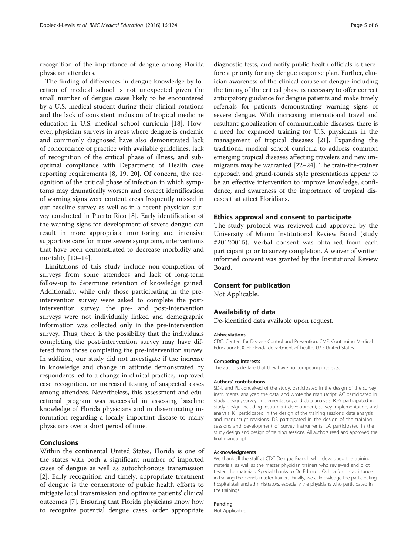recognition of the importance of dengue among Florida physician attendees.

The finding of differences in dengue knowledge by location of medical school is not unexpected given the small number of dengue cases likely to be encountered by a U.S. medical student during their clinical rotations and the lack of consistent inclusion of tropical medicine education in U.S. medical school curricula [\[18](#page-5-0)]. However, physician surveys in areas where dengue is endemic and commonly diagnosed have also demonstrated lack of concordance of practice with available guidelines, lack of recognition of the critical phase of illness, and suboptimal compliance with Department of Health case reporting requirements [[8](#page-5-0), [19](#page-5-0), [20\]](#page-5-0). Of concern, the recognition of the critical phase of infection in which symptoms may dramatically worsen and correct identification of warning signs were content areas frequently missed in our baseline survey as well as in a recent physician survey conducted in Puerto Rico [\[8\]](#page-5-0). Early identification of the warning signs for development of severe dengue can result in more appropriate monitoring and intensive supportive care for more severe symptoms, interventions that have been demonstrated to decrease morbidity and mortality [\[10](#page-5-0)–[14\]](#page-5-0).

Limitations of this study include non-completion of surveys from some attendees and lack of long-term follow-up to determine retention of knowledge gained. Additionally, while only those participating in the preintervention survey were asked to complete the postintervention survey, the pre- and post-intervention surveys were not individually linked and demographic information was collected only in the pre-intervention survey. Thus, there is the possibility that the individuals completing the post-intervention survey may have differed from those completing the pre-intervention survey. In addition, our study did not investigate if the increase in knowledge and change in attitude demonstrated by respondents led to a change in clinical practice, improved case recognition, or increased testing of suspected cases among attendees. Nevertheless, this assessment and educational program was successful in assessing baseline knowledge of Florida physicians and in disseminating information regarding a locally important disease to many physicians over a short period of time.

#### Conclusions

Within the continental United States, Florida is one of the states with both a significant number of imported cases of dengue as well as autochthonous transmission [[2\]](#page-5-0). Early recognition and timely, appropriate treatment of dengue is the cornerstone of public health efforts to mitigate local transmission and optimize patients' clinical outcomes [[7\]](#page-5-0). Ensuring that Florida physicians know how to recognize potential dengue cases, order appropriate

diagnostic tests, and notify public health officials is therefore a priority for any dengue response plan. Further, clinician awareness of the clinical course of dengue including the timing of the critical phase is necessary to offer correct anticipatory guidance for dengue patients and make timely referrals for patients demonstrating warning signs of severe dengue. With increasing international travel and resultant globalization of communicable diseases, there is a need for expanded training for U.S. physicians in the management of tropical diseases [[21](#page-5-0)]. Expanding the traditional medical school curricula to address common emerging tropical diseases affecting travelers and new immigrants may be warranted [\[22](#page-5-0)–[24\]](#page-5-0). The train-the-trainer approach and grand-rounds style presentations appear to be an effective intervention to improve knowledge, confidence, and awareness of the importance of tropical diseases that affect Floridians.

#### Ethics approval and consent to participate

The study protocol was reviewed and approved by the University of Miami Institutional Review Board (study #20120015). Verbal consent was obtained from each participant prior to survey completion. A waiver of written informed consent was granted by the Institutional Review Board.

#### Consent for publication

Not Applicable.

#### Availability of data

De-identified data available upon request.

#### Abbreviations

CDC: Centers for Disease Control and Prevention; CME: Continuing Medical Education; FDOH: Florida department of health; U.S.: United States.

#### Competing interests

The authors declare that they have no competing interests.

#### Authors' contributions

SD-L and PL conceived of the study, participated in the design of the survey instruments, analyzed the data, and wrote the manuscript. AC participated in study design, survey implementation, and data analysis. RJ-Y participated in study design including instrument development, survey implementation, and analysis. KT participated in the design of the training sessions, data analysis and manuscript revisions. DS participated in the design of the training sessions and development of survey instruments. LA participated in the study design and design of training sessions. All authors read and approved the final manuscript.

#### Acknowledgments

We thank all the staff at CDC Dengue Branch who developed the training materials, as well as the master physician trainers who reviewed and pilot tested the materials. Special thanks to Dr. Eduardo Ochoa for his assistance in training the Florida master trainers. Finally, we acknowledge the participating hospital staff and administrators, especially the physicians who participated in the trainings.

#### Funding

Not Applicable.